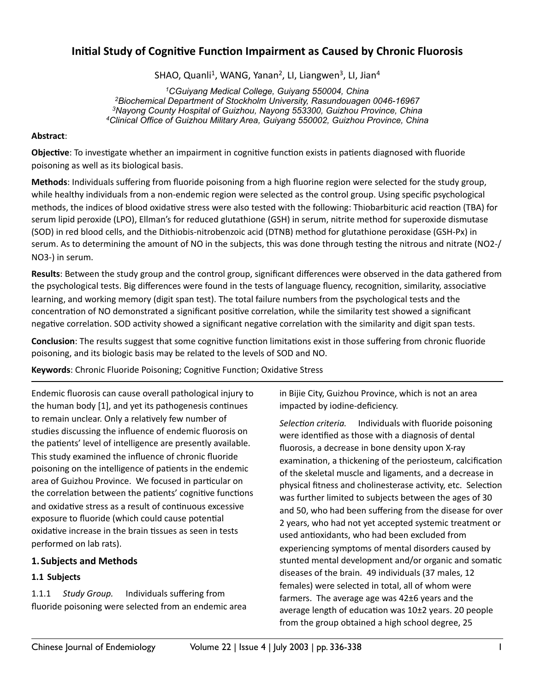# **Initial Study of Cognitive Function Impairment as Caused by Chronic Fluorosis**

SHAO, Quanli<sup>1</sup>, WANG, Yanan<sup>2</sup>, LI, Liangwen<sup>3</sup>, LI, Jian<sup>4</sup>

*1CGuiyang Medical College, Guiyang 550004, China 2Biochemical Department of Stockholm University, Rasundouagen 0046-16967 3Nayong County Hospital of Guizhou, Nayong 553300, Guizhou Province, China 4Clinical Office of Guizhou Military Area, Guiyang 550002, Guizhou Province, China*

#### **Abstract**:

**Objective**: To investigate whether an impairment in cognitive function exists in patients diagnosed with fluoride poisoning as well as its biological basis.

**Methods**: Individuals suffering from fluoride poisoning from a high fluorine region were selected for the study group, while healthy individuals from a non-endemic region were selected as the control group. Using specific psychological methods, the indices of blood oxidative stress were also tested with the following: Thiobarbituric acid reaction (TBA) for serum lipid peroxide (LPO), Ellman's for reduced glutathione (GSH) in serum, nitrite method for superoxide dismutase (SOD) in red blood cells, and the Dithiobis-nitrobenzoic acid (DTNB) method for glutathione peroxidase (GSH-Px) in serum. As to determining the amount of NO in the subjects, this was done through testing the nitrous and nitrate (NO2-/ NO3-) in serum.

**Results**: Between the study group and the control group, significant differences were observed in the data gathered from the psychological tests. Big differences were found in the tests of language fluency, recognition, similarity, associative learning, and working memory (digit span test). The total failure numbers from the psychological tests and the concentration of NO demonstrated a significant positive correlation, while the similarity test showed a significant negative correlation. SOD activity showed a significant negative correlation with the similarity and digit span tests.

**Conclusion**: The results suggest that some cognitive function limitations exist in those suffering from chronic fluoride poisoning, and its biologic basis may be related to the levels of SOD and NO.

Keywords: Chronic Fluoride Poisoning; Cognitive Function; Oxidative Stress

Endemic fluorosis can cause overall pathological injury to the human body  $[1]$ , and yet its pathogenesis continues to remain unclear. Only a relatively few number of studies discussing the influence of endemic fluorosis on the patients' level of intelligence are presently available. This study examined the influence of chronic fluoride poisoning on the intelligence of patients in the endemic area of Guizhou Province. We focused in particular on the correlation between the patients' cognitive functions and oxidative stress as a result of continuous excessive exposure to fluoride (which could cause potential oxidative increase in the brain tissues as seen in tests performed on lab rats).

# **1. Subjects and Methods**

### **1.1 Subjects**

1.1.1 *Study Group.* Individuals suffering from fluoride poisoning were selected from an endemic area in Bijie City, Guizhou Province, which is not an area impacted by iodine-deficiency.

Selection criteria. Individuals with fluoride poisoning were identified as those with a diagnosis of dental fluorosis, a decrease in bone density upon X-ray examination, a thickening of the periosteum, calcification of the skeletal muscle and ligaments, and a decrease in physical fitness and cholinesterase activity, etc. Selection was further limited to subjects between the ages of 30 and 50, who had been suffering from the disease for over 2 years, who had not yet accepted systemic treatment or used antioxidants, who had been excluded from experiencing symptoms of mental disorders caused by stunted mental development and/or organic and somatic diseases of the brain. 49 individuals (37 males, 12 females) were selected in total, all of whom were farmers. The average age was  $42±6$  years and the average length of education was  $10±2$  years. 20 people from the group obtained a high school degree, 25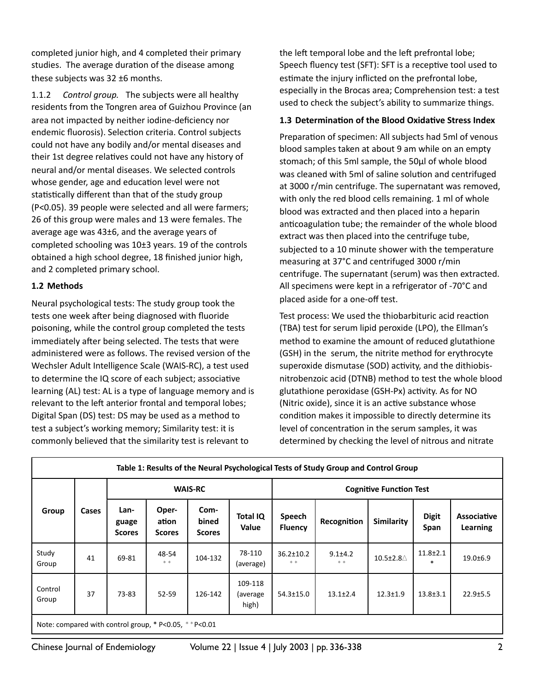completed junior high, and 4 completed their primary studies. The average duration of the disease among these subjects was  $32 \pm 6$  months.

1.1.2 Control group. The subjects were all healthy residents from the Tongren area of Guizhou Province (an area not impacted by neither iodine-deficiency nor endemic fluorosis). Selection criteria. Control subjects could not have any bodily and/or mental diseases and their 1st degree relatives could not have any history of neural and/or mental diseases. We selected controls whose gender, age and education level were not statistically different than that of the study group (P<0.05). 39 people were selected and all were farmers; 26 of this group were males and 13 were females. The average age was  $43\pm6$ , and the average years of completed schooling was  $10±3$  years. 19 of the controls obtained a high school degree, 18 finished junior high, and 2 completed primary school.

### **1.2 Methods**

Neural psychological tests: The study group took the tests one week after being diagnosed with fluoride poisoning, while the control group completed the tests immediately after being selected. The tests that were administered were as follows. The revised version of the Wechsler Adult Intelligence Scale (WAIS-RC), a test used to determine the IQ score of each subject; associative learning (AL) test: AL is a type of language memory and is relevant to the left anterior frontal and temporal lobes; Digital Span (DS) test: DS may be used as a method to test a subject's working memory; Similarity test: it is commonly believed that the similarity test is relevant to

the left temporal lobe and the left prefrontal lobe; Speech fluency test (SFT): SFT is a receptive tool used to estimate the injury inflicted on the prefrontal lobe, especially in the Brocas area; Comprehension test: a test used to check the subject's ability to summarize things.

#### 1.3 Determination of the Blood Oxidative Stress Index

Preparation of specimen: All subjects had 5ml of venous blood samples taken at about 9 am while on an empty stomach; of this 5ml sample, the 50μl of whole blood was cleaned with 5ml of saline solution and centrifuged at 3000 r/min centrifuge. The supernatant was removed, with only the red blood cells remaining. 1 ml of whole blood was extracted and then placed into a heparin anticoagulation tube; the remainder of the whole blood extract was then placed into the centrifuge tube, subjected to a 10 minute shower with the temperature measuring at 37°C and centrifuged 3000 r/min centrifuge. The supernatant (serum) was then extracted. All specimens were kept in a refrigerator of -70°C and placed aside for a one-off test.

Test process: We used the thiobarbituric acid reaction (TBA) test for serum lipid peroxide (LPO), the Ellman's method to examine the amount of reduced glutathione (GSH) in the serum, the nitrite method for erythrocyte superoxide dismutase (SOD) activity, and the dithiobisnitrobenzoic acid (DTNB) method to test the whole blood glutathione peroxidase (GSH-Px) activity. As for NO (Nitric oxide), since it is an active substance whose condition makes it impossible to directly determine its level of concentration in the serum samples, it was determined by checking the level of nitrous and nitrate

| Table 1: Results of the Neural Psychological Tests of Study Group and Control Group |       |                                |                                 |                                |                              |                                |                        |                          |                      |                                |
|-------------------------------------------------------------------------------------|-------|--------------------------------|---------------------------------|--------------------------------|------------------------------|--------------------------------|------------------------|--------------------------|----------------------|--------------------------------|
| Group                                                                               | Cases | <b>WAIS-RC</b>                 |                                 |                                |                              | <b>Cognitive Function Test</b> |                        |                          |                      |                                |
|                                                                                     |       | Lan-<br>guage<br><b>Scores</b> | Oper-<br>ation<br><b>Scores</b> | Com-<br>bined<br><b>Scores</b> | <b>Total IQ</b><br>Value     | Speech<br><b>Fluency</b>       | Recognition            | <b>Similarity</b>        | <b>Digit</b><br>Span | <b>Associative</b><br>Learning |
| Study<br>Group                                                                      | 41    | 69-81                          | 48-54<br>$* *$                  | 104-132                        | 78-110<br>(average)          | $36.2 \pm 10.2$<br>$* *$       | $9.1 \pm 4.2$<br>$* *$ | $10.5 \pm 2.8 \triangle$ | $11.8 \pm 2.1$<br>*  | $19.0 + 6.9$                   |
| Control<br>Group                                                                    | 37    | 73-83                          | 52-59                           | 126-142                        | 109-118<br>(average<br>high) | $54.3 \pm 15.0$                | $13.1 \pm 2.4$         | $12.3 \pm 1.9$           | $13.8 + 3.1$         | $22.9 \pm 5.5$                 |
| Note: compared with control group, $*$ P<0.05, $*$ P<0.01                           |       |                                |                                 |                                |                              |                                |                        |                          |                      |                                |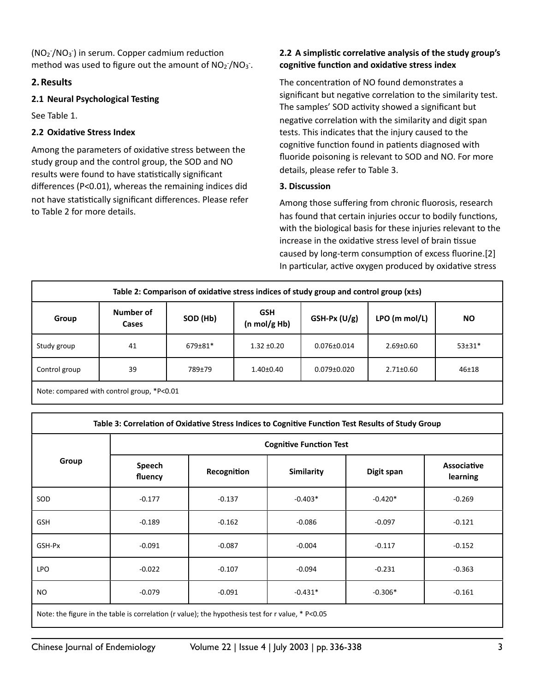$(NO<sub>2</sub><sup>-</sup>/NO<sub>3</sub><sup>-</sup>)$  in serum. Copper cadmium reduction method was used to figure out the amount of  $NO<sub>2</sub>$ /NO<sub>3</sub>.

## **2.Results**

### **2.1 Neural Psychological Testing**

See Table 1.

# **2.2 Oxidative Stress Index**

Among the parameters of oxidative stress between the study group and the control group, the SOD and NO results were found to have statistically significant differences (P<0.01), whereas the remaining indices did not have statistically significant differences. Please refer to Table 2 for more details.

## 2.2 A simplistic correlative analysis of the study group's cognitive function and oxidative stress index

The concentration of NO found demonstrates a significant but negative correlation to the similarity test. The samples' SOD activity showed a significant but negative correlation with the similarity and digit span tests. This indicates that the injury caused to the cognitive function found in patients diagnosed with fluoride poisoning is relevant to SOD and NO. For more details, please refer to Table 3.

### **3. Discussion**

Among those suffering from chronic fluorosis, research has found that certain injuries occur to bodily functions, with the biological basis for these injuries relevant to the increase in the oxidative stress level of brain tissue caused by long-term consumption of excess fluorine. [2] In particular, active oxygen produced by oxidative stress

| Table 2: Comparison of oxidative stress indices of study group and control group (x±s) |                    |          |                            |                   |                 |           |  |  |
|----------------------------------------------------------------------------------------|--------------------|----------|----------------------------|-------------------|-----------------|-----------|--|--|
| Group                                                                                  | Number of<br>Cases | SOD (Hb) | <b>GSH</b><br>(n mol/g Hb) | $GSH-Px (U/g)$    | LPO (m mol/L)   | <b>NO</b> |  |  |
| Study group                                                                            | 41                 | 679±81*  | $1.32 + 0.20$              | $0.076 \pm 0.014$ | $2.69 \pm 0.60$ | $53±31*$  |  |  |
| Control group                                                                          | 39                 | 789±79   | $1.40{\pm}0.40$            | $0.079 \pm 0.020$ | $2.71 \pm 0.60$ | 46±18     |  |  |
| Note: compared with control group $*P<0.01$                                            |                    |          |                            |                   |                 |           |  |  |

Note: compared with control group, \*P<0.01

| Table 3: Correlation of Oxidative Stress Indices to Cognitive Function Test Results of Study Group |                                |                       |                   |            |                                |  |  |  |  |
|----------------------------------------------------------------------------------------------------|--------------------------------|-----------------------|-------------------|------------|--------------------------------|--|--|--|--|
|                                                                                                    | <b>Cognitive Function Test</b> |                       |                   |            |                                |  |  |  |  |
| Group                                                                                              | Speech<br>fluency              | Recognition           | <b>Similarity</b> | Digit span | <b>Associative</b><br>learning |  |  |  |  |
| SOD                                                                                                | $-0.177$                       | $-0.137$              | $-0.403*$         | $-0.420*$  | $-0.269$                       |  |  |  |  |
| <b>GSH</b>                                                                                         | $-0.189$                       | $-0.162$              | $-0.086$          | $-0.097$   | $-0.121$                       |  |  |  |  |
| GSH-Px                                                                                             | $-0.091$                       | $-0.087$              | $-0.004$          | $-0.117$   | $-0.152$                       |  |  |  |  |
| <b>LPO</b>                                                                                         | $-0.022$                       | $-0.107$              | $-0.094$          | $-0.231$   | $-0.363$                       |  |  |  |  |
| <b>NO</b><br>$-0.079$                                                                              |                                | $-0.431*$<br>$-0.091$ |                   | $-0.306*$  | $-0.161$                       |  |  |  |  |
| Note: the figure in the table is correlation (r value); the hypothesis test for r value, * P<0.05  |                                |                       |                   |            |                                |  |  |  |  |